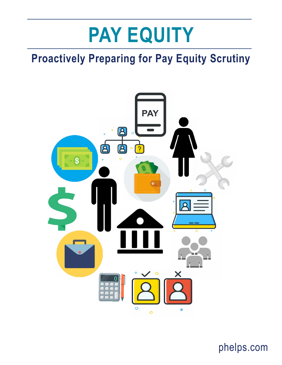# **PAY EQUITY**

### **Proactively Preparing for Pay Equity Scrutiny**



phelps.com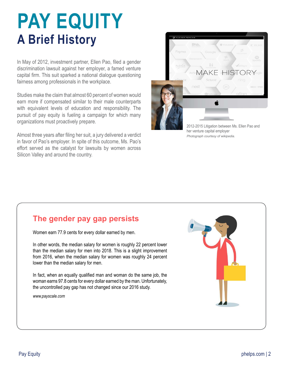## **PAY EQUITY A Brief History**

In May of 2012, investment partner, Ellen Pao, filed a gender discrimination lawsuit against her employer, a famed venture capital firm. This suit sparked a national dialogue questioning fairness among professionals in the workplace.

Studies make the claim that almost 60 percent of women would earn more if compensated similar to their male counterparts with equivalent levels of education and responsibility. The pursuit of pay equity is fueling a campaign for which many organizations must proactively prepare.

Almost three years after filing her suit, a jury delivered a verdict in favor of Pao's employer. In spite of this outcome, Ms. Pao's effort served as the catalyst for lawsuits by women across Silicon Valley and around the country.



her venture capital employer *Photograph courtesy of wikipedia.*

#### **The gender pay gap persists**

Women earn 77.9 cents for every dollar earned by men.

In other words, the median salary for women is roughly 22 percent lower than the median salary for men into 2018. This is a slight improvement from 2016, when the median salary for women was roughly 24 percent lower than the median salary for men.

In fact, when an equally qualified man and woman do the same job, the woman earns 97.8 cents for every dollar earned by the man. Unfortunately, the uncontrolled pay gap has not changed since our 2016 study.

*www.payscale.com*

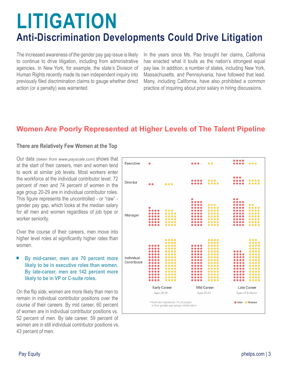## **LITIGATION Anti-Discrimination Developments Could Drive Litigation**

The increased awareness of the gender pay gap issue is likely to continue to drive litigation, including from administrative agencies. In New York, for example, the state's Division of Human Rights recently made its own independent inquiry into previously filed discrimination claims to gauge whether direct action (or a penalty) was warranted.

In the years since Ms. Pao brought her claims, California has enacted what it touts as the nation's strongest equal pay law. In addition, a number of states, including New York, Massachusetts, and Pennsylvania, have followed that lead. Many, including California, have also prohibited a common practice of inquiring about prior salary in hiring discussions.

#### **Women Are Poorly Represented at Higher Levels of The Talent Pipeline**

#### **There are Relatively Few Women at the Top**

Our data (*taken from www.payscale.com*) shows that at the start of their careers, men and women tend to work at similar job levels. Most workers enter the workforce at the individual contributor level: 72 percent of men and 74 percent of women in the age group 20-29 are in individual contributor roles. This figure represents the uncontrolled - or "raw" gender pay gap, which looks at the median salary for all men and women regardless of job type or worker seniority.

Over the course of their careers, men move into higher level roles at significantly higher rates than women.

#### **• By mid-career, men are 70 percent more likely to be in executive roles than women. By late-career, men are 142 percent more likely to be in VP or C-suite roles.**

On the flip side, women are more likely than men to remain in individual contributor positions over the course of their careers. By mid career, 60 percent of women are in individual contributor positions vs. 52 percent of men. By late career, 59 percent of women are in still individual contributor positions vs. 43 percent of men.

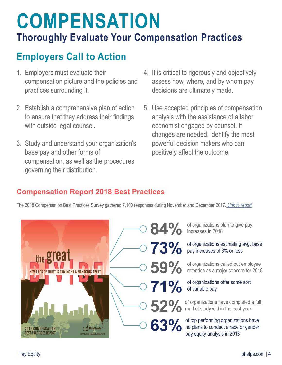## **COMPENSATION Thoroughly Evaluate Your Compensation Practices**

### **Employers Call to Action**

- 1. Employers must evaluate their compensation picture and the policies and practices surrounding it.
- 2. Establish a comprehensive plan of action to ensure that they address their findings with outside legal counsel.
- 3. Study and understand your organization's base pay and other forms of compensation, as well as the procedures governing their distribution.
- 4. It is critical to rigorously and objectively assess how, where, and by whom pay decisions are ultimately made.
- 5. Use accepted principles of compensation analysis with the assistance of a labor economist engaged by counsel. If changes are needed, identify the most powerful decision makers who can positively affect the outcome.

#### **Compensation Report 2018 Best Practices**

The 2018 Compensation Best Practices Survey gathered 7,100 responses during November and December 2017. *[Link to report](https://www.payscale.com/cbpr#report)*

**84%**

**73%**

**59%**

**71%**

**52%**

**63%**



of organizations plan to give pay increases in 2018

of organizations estimating avg. base pay increases of 3% or less

of organizations called out employee retention as a major concern for 2018

of organizations offer some sort of variable pay

of organizations have completed a full market study within the past year

of top performing organizations have no plans to conduct a race or gender pay equity analysis in 2018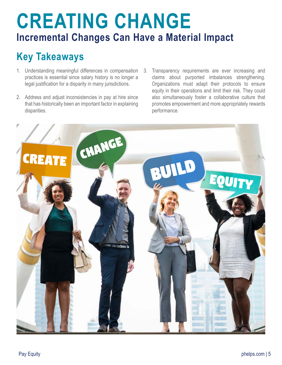## **CREATING CHANGE Incremental Changes Can Have a Material Impact**

### **Key Takeaways**

- 1. Understanding meaningful differences in compensation practices is essential since salary history is no longer a legal justification for a disparity in many jurisdictions.
- 2. Address and adjust inconsistencies in pay at hire since that has historically been an important factor in explaining disparities.
- 3. Transparency requirements are ever increasing and claims about purported imbalances strengthening. Organizations must adapt their protocols to ensure equity in their operations and limit their risk. They could also simultaneously foster a collaborative culture that promotes empowerment and more appropriately rewards performance.